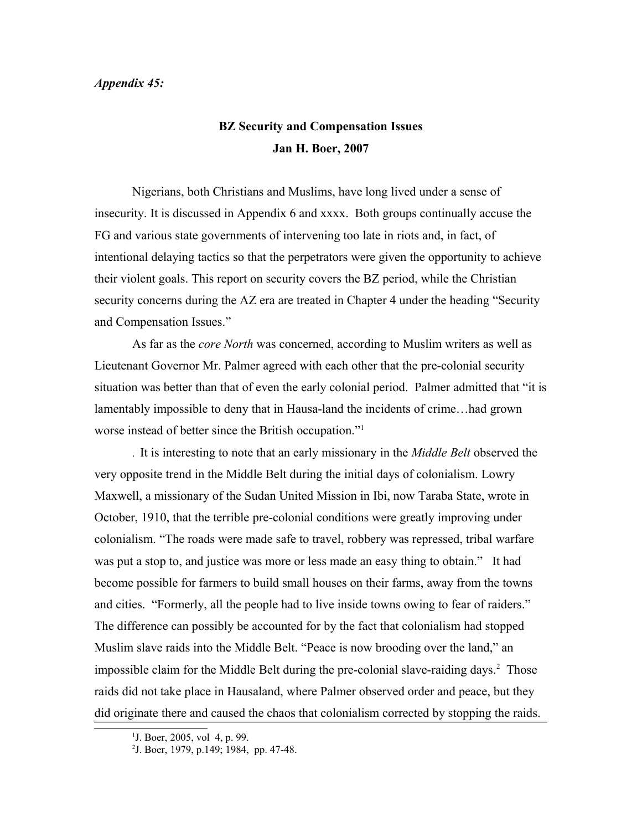## *Appendix 45:*

## **BZ Security and Compensation Issues Jan H. Boer, 2007**

Nigerians, both Christians and Muslims, have long lived under a sense of insecurity. It is discussed in Appendix 6 and xxxx. Both groups continually accuse the FG and various state governments of intervening too late in riots and, in fact, of intentional delaying tactics so that the perpetrators were given the opportunity to achieve their violent goals. This report on security covers the BZ period, while the Christian security concerns during the AZ era are treated in Chapter 4 under the heading "Security and Compensation Issues."

As far as the *core North* was concerned, according to Muslim writers as well as Lieutenant Governor Mr. Palmer agreed with each other that the pre-colonial security situation was better than that of even the early colonial period. Palmer admitted that "it is lamentably impossible to deny that in Hausa-land the incidents of crime…had grown worse instead of better since the British occupation."[1](#page-0-0)

. It is interesting to note that an early missionary in the *Middle Belt* observed the very opposite trend in the Middle Belt during the initial days of colonialism. Lowry Maxwell, a missionary of the Sudan United Mission in Ibi, now Taraba State, wrote in October, 1910, that the terrible pre-colonial conditions were greatly improving under colonialism. "The roads were made safe to travel, robbery was repressed, tribal warfare was put a stop to, and justice was more or less made an easy thing to obtain." It had become possible for farmers to build small houses on their farms, away from the towns and cities. "Formerly, all the people had to live inside towns owing to fear of raiders." The difference can possibly be accounted for by the fact that colonialism had stopped Muslim slave raids into the Middle Belt. "Peace is now brooding over the land," an impossible claim for the Middle Belt during the pre-colonial slave-raiding days.<sup>[2](#page-0-1)</sup> Those raids did not take place in Hausaland, where Palmer observed order and peace, but they did originate there and caused the chaos that colonialism corrected by stopping the raids.

<span id="page-0-0"></span><sup>&</sup>lt;sup>1</sup>J. Boer, 2005, vol 4, p. 99.

<span id="page-0-1"></span><sup>2</sup> J. Boer, 1979, p.149; 1984, pp. 47-48.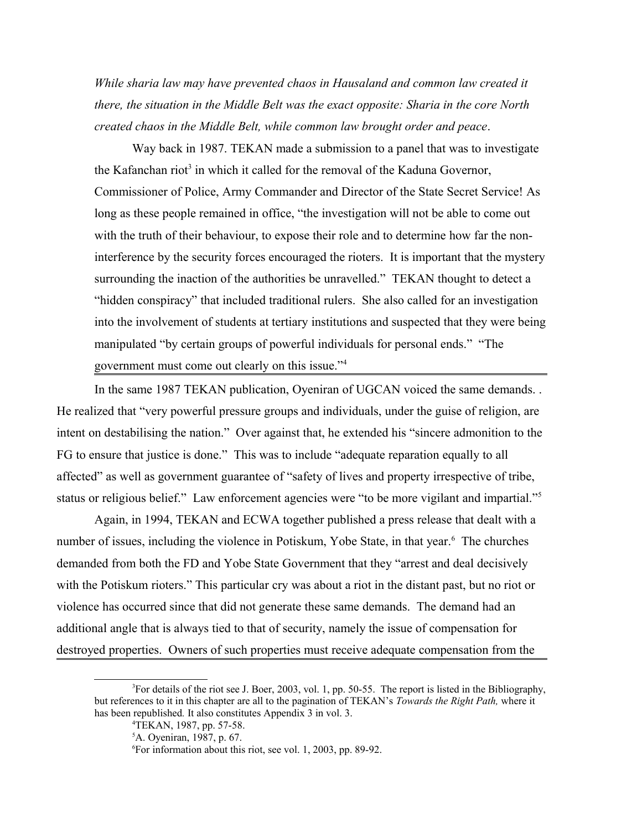*While sharia law may have prevented chaos in Hausaland and common law created it there, the situation in the Middle Belt was the exact opposite: Sharia in the core North created chaos in the Middle Belt, while common law brought order and peace*.

Way back in 1987. TEKAN made a submission to a panel that was to investigate the Kafanchan riot<sup>[3](#page-1-0)</sup> in which it called for the removal of the Kaduna Governor, Commissioner of Police, Army Commander and Director of the State Secret Service! As long as these people remained in office, "the investigation will not be able to come out with the truth of their behaviour, to expose their role and to determine how far the noninterference by the security forces encouraged the rioters. It is important that the mystery surrounding the inaction of the authorities be unravelled." TEKAN thought to detect a "hidden conspiracy" that included traditional rulers. She also called for an investigation into the involvement of students at tertiary institutions and suspected that they were being manipulated "by certain groups of powerful individuals for personal ends." "The government must come out clearly on this issue."[4](#page-1-1)

In the same 1987 TEKAN publication, Oyeniran of UGCAN voiced the same demands. . He realized that "very powerful pressure groups and individuals, under the guise of religion, are intent on destabilising the nation." Over against that, he extended his "sincere admonition to the FG to ensure that justice is done." This was to include "adequate reparation equally to all affected" as well as government guarantee of "safety of lives and property irrespective of tribe, status or religious belief." Law enforcement agencies were "to be more vigilant and impartial."[5](#page-1-2)

Again, in 1994, TEKAN and ECWA together published a press release that dealt with a number of issues, including the violence in Potiskum, Yobe State, in that year.<sup>[6](#page-1-3)</sup> The churches demanded from both the FD and Yobe State Government that they "arrest and deal decisively with the Potiskum rioters." This particular cry was about a riot in the distant past, but no riot or violence has occurred since that did not generate these same demands. The demand had an additional angle that is always tied to that of security, namely the issue of compensation for destroyed properties. Owners of such properties must receive adequate compensation from the

<sup>3</sup>For details of the riot see J. Boer, 2003, vol. 1, pp. 50-55. The report is listed in the Bibliography, but references to it in this chapter are all to the pagination of TEKAN's *Towards the Right Path,* where it has been republished*.* It also constitutes Appendix 3 in vol. 3.

<span id="page-1-1"></span><span id="page-1-0"></span><sup>4</sup>TEKAN, 1987, pp. 57-58.

<span id="page-1-2"></span><sup>5</sup>A. Oyeniran, 1987, p. 67.

<span id="page-1-3"></span><sup>6</sup>For information about this riot, see vol. 1, 2003, pp. 89-92.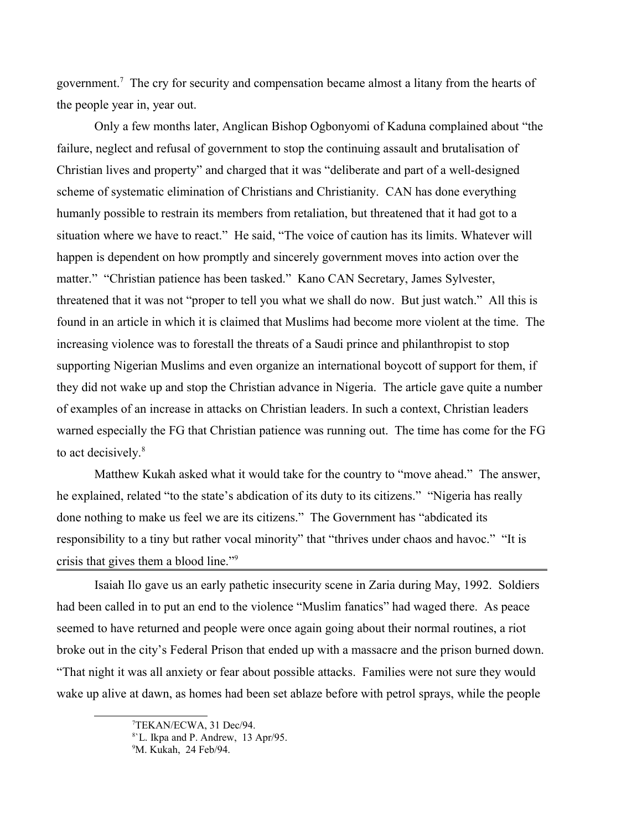government.<sup>[7](#page-2-0)</sup> The cry for security and compensation became almost a litany from the hearts of the people year in, year out.

Only a few months later, Anglican Bishop Ogbonyomi of Kaduna complained about "the failure, neglect and refusal of government to stop the continuing assault and brutalisation of Christian lives and property" and charged that it was "deliberate and part of a well-designed scheme of systematic elimination of Christians and Christianity. CAN has done everything humanly possible to restrain its members from retaliation, but threatened that it had got to a situation where we have to react." He said, "The voice of caution has its limits. Whatever will happen is dependent on how promptly and sincerely government moves into action over the matter." "Christian patience has been tasked." Kano CAN Secretary, James Sylvester, threatened that it was not "proper to tell you what we shall do now. But just watch." All this is found in an article in which it is claimed that Muslims had become more violent at the time. The increasing violence was to forestall the threats of a Saudi prince and philanthropist to stop supporting Nigerian Muslims and even organize an international boycott of support for them, if they did not wake up and stop the Christian advance in Nigeria. The article gave quite a number of examples of an increase in attacks on Christian leaders. In such a context, Christian leaders warned especially the FG that Christian patience was running out. The time has come for the FG to act decisively.<sup>[8](#page-2-1)</sup>

Matthew Kukah asked what it would take for the country to "move ahead." The answer, he explained, related "to the state's abdication of its duty to its citizens." "Nigeria has really done nothing to make us feel we are its citizens." The Government has "abdicated its responsibility to a tiny but rather vocal minority" that "thrives under chaos and havoc." "It is crisis that gives them a blood line."[9](#page-2-2)

Isaiah Ilo gave us an early pathetic insecurity scene in Zaria during May, 1992. Soldiers had been called in to put an end to the violence "Muslim fanatics" had waged there. As peace seemed to have returned and people were once again going about their normal routines, a riot broke out in the city's Federal Prison that ended up with a massacre and the prison burned down. "That night it was all anxiety or fear about possible attacks. Families were not sure they would wake up alive at dawn, as homes had been set ablaze before with petrol sprays, while the people

<span id="page-2-0"></span><sup>7</sup>TEKAN/ECWA, 31 Dec/94.

<span id="page-2-1"></span><sup>8</sup> `L. Ikpa and P. Andrew, 13 Apr/95.

<span id="page-2-2"></span><sup>9</sup>M. Kukah, 24 Feb/94.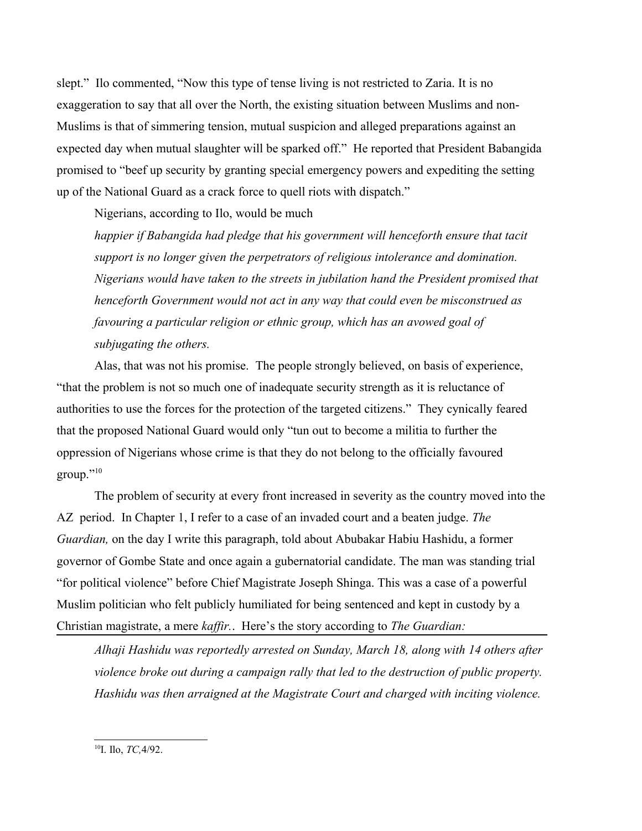slept." Ilo commented, "Now this type of tense living is not restricted to Zaria. It is no exaggeration to say that all over the North, the existing situation between Muslims and non-Muslims is that of simmering tension, mutual suspicion and alleged preparations against an expected day when mutual slaughter will be sparked off." He reported that President Babangida promised to "beef up security by granting special emergency powers and expediting the setting up of the National Guard as a crack force to quell riots with dispatch."

Nigerians, according to Ilo, would be much

*happier if Babangida had pledge that his government will henceforth ensure that tacit support is no longer given the perpetrators of religious intolerance and domination. Nigerians would have taken to the streets in jubilation hand the President promised that henceforth Government would not act in any way that could even be misconstrued as favouring a particular religion or ethnic group, which has an avowed goal of subjugating the others.* 

Alas, that was not his promise. The people strongly believed, on basis of experience, "that the problem is not so much one of inadequate security strength as it is reluctance of authorities to use the forces for the protection of the targeted citizens." They cynically feared that the proposed National Guard would only "tun out to become a militia to further the oppression of Nigerians whose crime is that they do not belong to the officially favoured  $group.$ "<sup>[10](#page-3-0)</sup>

The problem of security at every front increased in severity as the country moved into the AZ period. In Chapter 1, I refer to a case of an invaded court and a beaten judge. *The Guardian,* on the day I write this paragraph, told about Abubakar Habiu Hashidu, a former governor of Gombe State and once again a gubernatorial candidate. The man was standing trial "for political violence" before Chief Magistrate Joseph Shinga. This was a case of a powerful Muslim politician who felt publicly humiliated for being sentenced and kept in custody by a Christian magistrate, a mere *kaffir.*. Here's the story according to *The Guardian:*

*Alhaji Hashidu was reportedly arrested on Sunday, March 18, along with 14 others after violence broke out during a campaign rally that led to the destruction of public property. Hashidu was then arraigned at the Magistrate Court and charged with inciting violence.* 

<span id="page-3-0"></span><sup>&</sup>lt;sup>10</sup>I. Ilo, *TC*, 4/92.